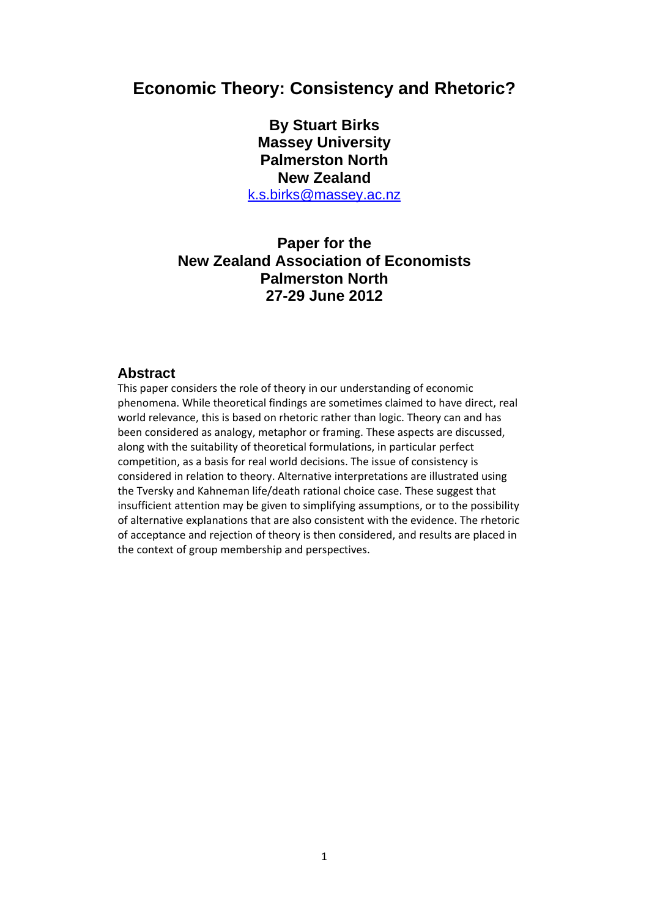# **Economic Theory: Consistency and Rhetoric?**

**By Stuart Birks Massey University Palmerston North New Zealand**  [k.s.birks@massey.ac.nz](mailto:k.s.birks@massey.ac.nz)

## **Paper for the New Zealand Association of Economists Palmerston North 27-29 June 2012**

#### **Abstract**

This paper considers the role of theory in our understanding of economic phenomena. While theoretical findings are sometimes claimed to have direct, real world relevance, this is based on rhetoric rather than logic. Theory can and has been considered as analogy, metaphor or framing. These aspects are discussed, along with the suitability of theoretical formulations, in particular perfect competition, as a basis for real world decisions. The issue of consistency is considered in relation to theory. Alternative interpretations are illustrated using the Tversky and Kahneman life/death rational choice case. These suggest that insufficient attention may be given to simplifying assumptions, or to the possibility of alternative explanations that are also consistent with the evidence. The rhetoric of acceptance and rejection of theory is then considered, and results are placed in the context of group membership and perspectives.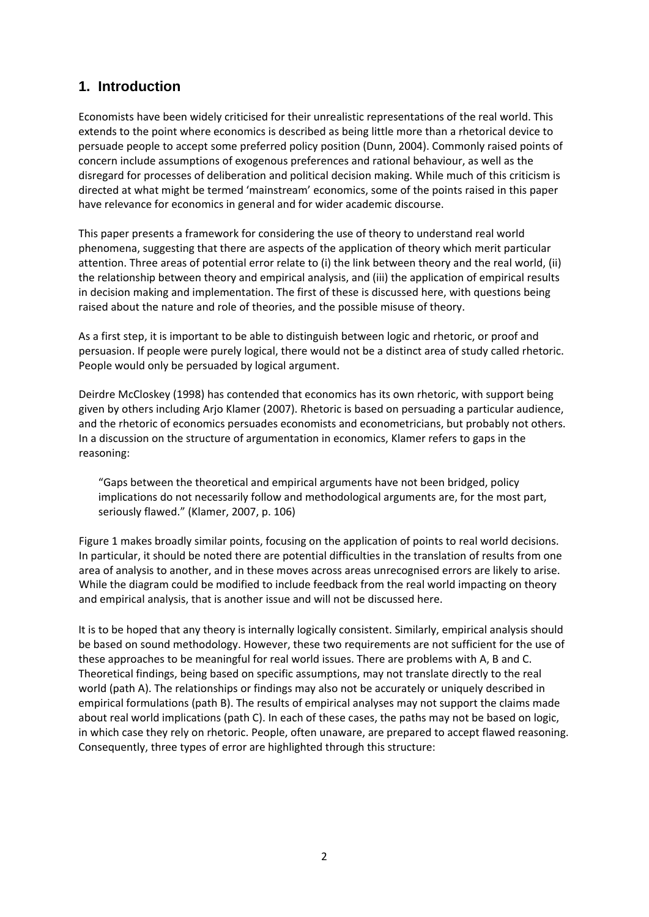## **1. Introduction**

Economists have been widely criticised for their unrealistic representations of the real world. This extends to the point where economics is described as being little more than a rhetorical device to persuade people to accept some preferred policy position (Dunn, 2004). Commonly raised points of concern include assumptions of exogenous preferences and rational behaviour, as well as the disregard for processes of deliberation and political decision making. While much of this criticism is directed at what might be termed 'mainstream' economics, some of the points raised in this paper have relevance for economics in general and for wider academic discourse.

This paper presents a framework for considering the use of theory to understand real world phenomena, suggesting that there are aspects of the application of theory which merit particular attention. Three areas of potential error relate to (i) the link between theory and the real world, (ii) the relationship between theory and empirical analysis, and (iii) the application of empirical results in decision making and implementation. The first of these is discussed here, with questions being raised about the nature and role of theories, and the possible misuse of theory.

As a first step, it is important to be able to distinguish between logic and rhetoric, or proof and persuasion. If people were purely logical, there would not be a distinct area of study called rhetoric. People would only be persuaded by logical argument.

Deirdre McCloskey (1998) has contended that economics has its own rhetoric, with support being given by others including Arjo Klamer (2007). Rhetoric is based on persuading a particular audience, and the rhetoric of economics persuades economists and econometricians, but probably not others. In a discussion on the structure of argumentation in economics, Klamer refers to gaps in the reasoning:

"Gaps between the theoretical and empirical arguments have not been bridged, policy implications do not necessarily follow and methodological arguments are, for the most part, seriously flawed." (Klamer, 2007, p. 106)

Figure 1 makes broadly similar points, focusing on the application of points to real world decisions. In particular, it should be noted there are potential difficulties in the translation of results from one area of analysis to another, and in these moves across areas unrecognised errors are likely to arise. While the diagram could be modified to include feedback from the real world impacting on theory and empirical analysis, that is another issue and will not be discussed here.

It is to be hoped that any theory is internally logically consistent. Similarly, empirical analysis should be based on sound methodology. However, these two requirements are not sufficient for the use of these approaches to be meaningful for real world issues. There are problems with A, B and C. Theoretical findings, being based on specific assumptions, may not translate directly to the real world (path A). The relationships or findings may also not be accurately or uniquely described in empirical formulations (path B). The results of empirical analyses may not support the claims made about real world implications (path C). In each of these cases, the paths may not be based on logic, in which case they rely on rhetoric. People, often unaware, are prepared to accept flawed reasoning. Consequently, three types of error are highlighted through this structure: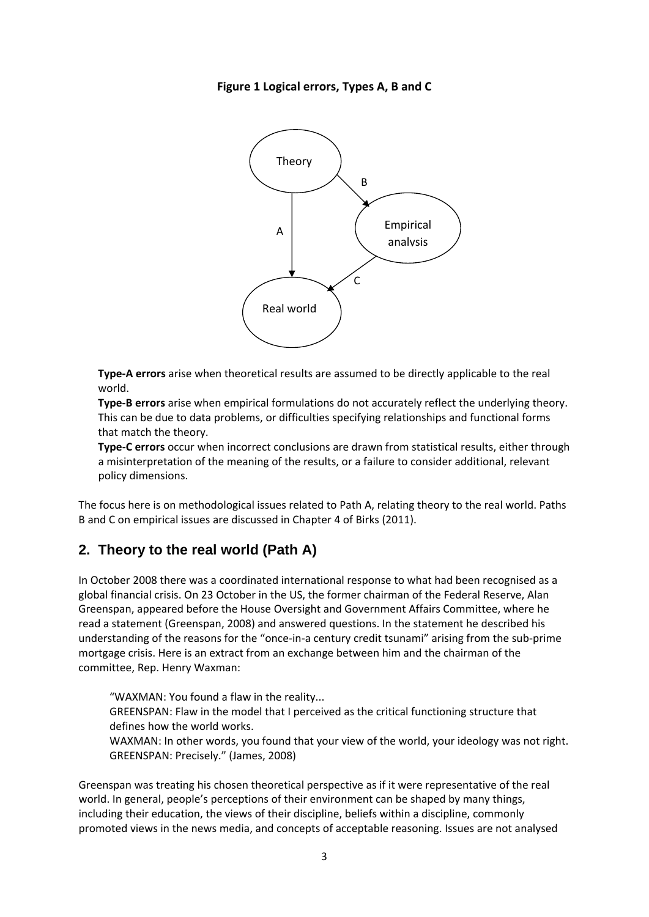### **Figure 1 Logical errors, Types A, B and C**



**Type‐A errors** arise when theoretical results are assumed to be directly applicable to the real world.

**Type‐B errors** arise when empirical formulations do not accurately reflect the underlying theory. This can be due to data problems, or difficulties specifying relationships and functional forms that match the theory.

**Type‐C errors** occur when incorrect conclusions are drawn from statistical results, either through a misinterpretation of the meaning of the results, or a failure to consider additional, relevant policy dimensions.

The focus here is on methodological issues related to Path A, relating theory to the real world. Paths B and C on empirical issues are discussed in Chapter 4 of Birks (2011).

### **2. Theory to the real world (Path A)**

In October 2008 there was a coordinated international response to what had been recognised as a global financial crisis. On 23 October in the US, the former chairman of the Federal Reserve, Alan Greenspan, appeared before the House Oversight and Government Affairs Committee, where he read a statement (Greenspan, 2008) and answered questions. In the statement he described his understanding of the reasons for the "once‐in‐a century credit tsunami" arising from the sub‐prime mortgage crisis. Here is an extract from an exchange between him and the chairman of the committee, Rep. Henry Waxman:

"WAXMAN: You found a flaw in the reality... GREENSPAN: Flaw in the model that I perceived as the critical functioning structure that defines how the world works.

WAXMAN: In other words, you found that your view of the world, your ideology was not right. GREENSPAN: Precisely." (James, 2008)

Greenspan was treating his chosen theoretical perspective as if it were representative of the real world. In general, people's perceptions of their environment can be shaped by many things, including their education, the views of their discipline, beliefs within a discipline, commonly promoted views in the news media, and concepts of acceptable reasoning. Issues are not analysed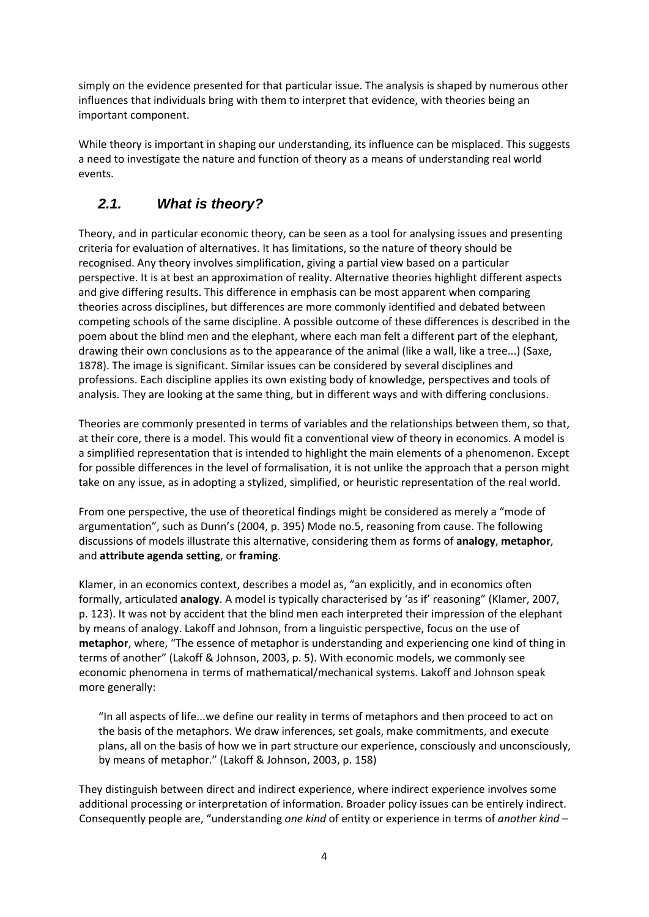simply on the evidence presented for that particular issue. The analysis is shaped by numerous other influences that individuals bring with them to interpret that evidence, with theories being an important component.

While theory is important in shaping our understanding, its influence can be misplaced. This suggests a need to investigate the nature and function of theory as a means of understanding real world events.

# *2.1. What is theory?*

Theory, and in particular economic theory, can be seen as a tool for analysing issues and presenting criteria for evaluation of alternatives. It has limitations, so the nature of theory should be recognised. Any theory involves simplification, giving a partial view based on a particular perspective. It is at best an approximation of reality. Alternative theories highlight different aspects and give differing results. This difference in emphasis can be most apparent when comparing theories across disciplines, but differences are more commonly identified and debated between competing schools of the same discipline. A possible outcome of these differences is described in the poem about the blind men and the elephant, where each man felt a different part of the elephant, drawing their own conclusions as to the appearance of the animal (like a wall, like a tree...) (Saxe, 1878). The image is significant. Similar issues can be considered by several disciplines and professions. Each discipline applies its own existing body of knowledge, perspectives and tools of analysis. They are looking at the same thing, but in different ways and with differing conclusions.

Theories are commonly presented in terms of variables and the relationships between them, so that, at their core, there is a model. This would fit a conventional view of theory in economics. A model is a simplified representation that is intended to highlight the main elements of a phenomenon. Except for possible differences in the level of formalisation, it is not unlike the approach that a person might take on any issue, as in adopting a stylized, simplified, or heuristic representation of the real world.

From one perspective, the use of theoretical findings might be considered as merely a "mode of argumentation", such as Dunn's (2004, p. 395) Mode no.5, reasoning from cause. The following discussions of models illustrate this alternative, considering them as forms of **analogy**, **metaphor**, and **attribute agenda setting**, or **framing**.

Klamer, in an economics context, describes a model as, "an explicitly, and in economics often formally, articulated **analogy**. A model is typically characterised by 'as if' reasoning" (Klamer, 2007, p. 123). It was not by accident that the blind men each interpreted their impression of the elephant by means of analogy. Lakoff and Johnson, from a linguistic perspective, focus on the use of **metaphor**, where, "The essence of metaphor is understanding and experiencing one kind of thing in terms of another" (Lakoff & Johnson, 2003, p. 5). With economic models, we commonly see economic phenomena in terms of mathematical/mechanical systems. Lakoff and Johnson speak more generally:

"In all aspects of life...we define our reality in terms of metaphors and then proceed to act on the basis of the metaphors. We draw inferences, set goals, make commitments, and execute plans, all on the basis of how we in part structure our experience, consciously and unconsciously, by means of metaphor." (Lakoff & Johnson, 2003, p. 158)

They distinguish between direct and indirect experience, where indirect experience involves some additional processing or interpretation of information. Broader policy issues can be entirely indirect. Consequently people are, "understanding *one kind* of entity or experience in terms of *another kind* –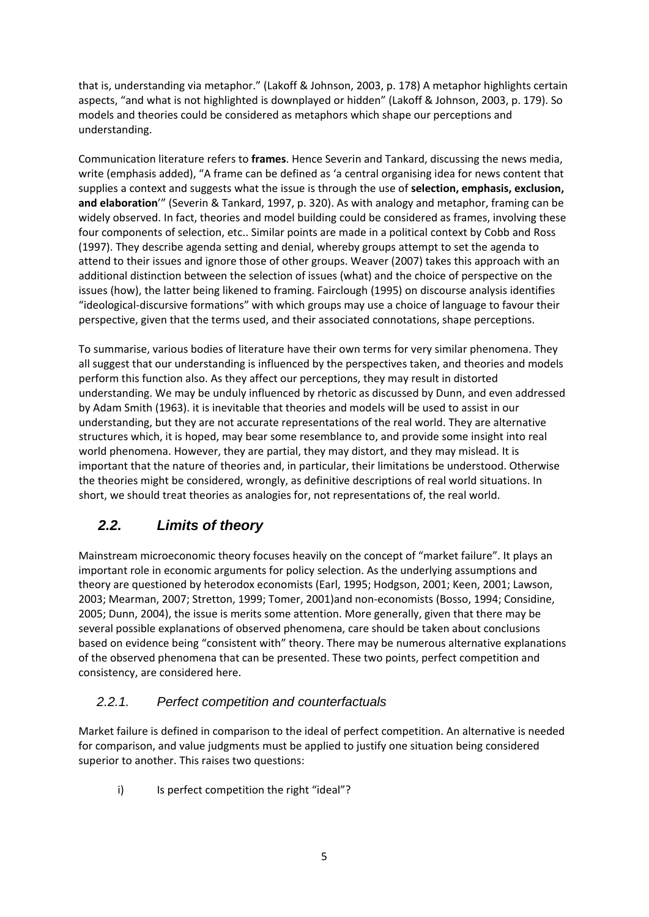that is, understanding via metaphor." (Lakoff & Johnson, 2003, p. 178) A metaphor highlights certain aspects, "and what is not highlighted is downplayed or hidden" (Lakoff & Johnson, 2003, p. 179). So models and theories could be considered as metaphors which shape our perceptions and understanding.

Communication literature refers to **frames**. Hence Severin and Tankard, discussing the news media, write (emphasis added), "A frame can be defined as 'a central organising idea for news content that supplies a context and suggests what the issue is through the use of **selection, emphasis, exclusion, and elaboration**'" (Severin & Tankard, 1997, p. 320). As with analogy and metaphor, framing can be widely observed. In fact, theories and model building could be considered as frames, involving these four components of selection, etc.. Similar points are made in a political context by Cobb and Ross (1997). They describe agenda setting and denial, whereby groups attempt to set the agenda to attend to their issues and ignore those of other groups. Weaver (2007) takes this approach with an additional distinction between the selection of issues (what) and the choice of perspective on the issues (how), the latter being likened to framing. Fairclough (1995) on discourse analysis identifies "ideological‐discursive formations" with which groups may use a choice of language to favour their perspective, given that the terms used, and their associated connotations, shape perceptions.

To summarise, various bodies of literature have their own terms for very similar phenomena. They all suggest that our understanding is influenced by the perspectives taken, and theories and models perform this function also. As they affect our perceptions, they may result in distorted understanding. We may be unduly influenced by rhetoric as discussed by Dunn, and even addressed by Adam Smith (1963). it is inevitable that theories and models will be used to assist in our understanding, but they are not accurate representations of the real world. They are alternative structures which, it is hoped, may bear some resemblance to, and provide some insight into real world phenomena. However, they are partial, they may distort, and they may mislead. It is important that the nature of theories and, in particular, their limitations be understood. Otherwise the theories might be considered, wrongly, as definitive descriptions of real world situations. In short, we should treat theories as analogies for, not representations of, the real world.

# *2.2. Limits of theory*

Mainstream microeconomic theory focuses heavily on the concept of "market failure". It plays an important role in economic arguments for policy selection. As the underlying assumptions and theory are questioned by heterodox economists (Earl, 1995; Hodgson, 2001; Keen, 2001; Lawson, 2003; Mearman, 2007; Stretton, 1999; Tomer, 2001)and non‐economists (Bosso, 1994; Considine, 2005; Dunn, 2004), the issue is merits some attention. More generally, given that there may be several possible explanations of observed phenomena, care should be taken about conclusions based on evidence being "consistent with" theory. There may be numerous alternative explanations of the observed phenomena that can be presented. These two points, perfect competition and consistency, are considered here.

### *2.2.1. Perfect competition and counterfactuals*

Market failure is defined in comparison to the ideal of perfect competition. An alternative is needed for comparison, and value judgments must be applied to justify one situation being considered superior to another. This raises two questions:

i) Is perfect competition the right "ideal"?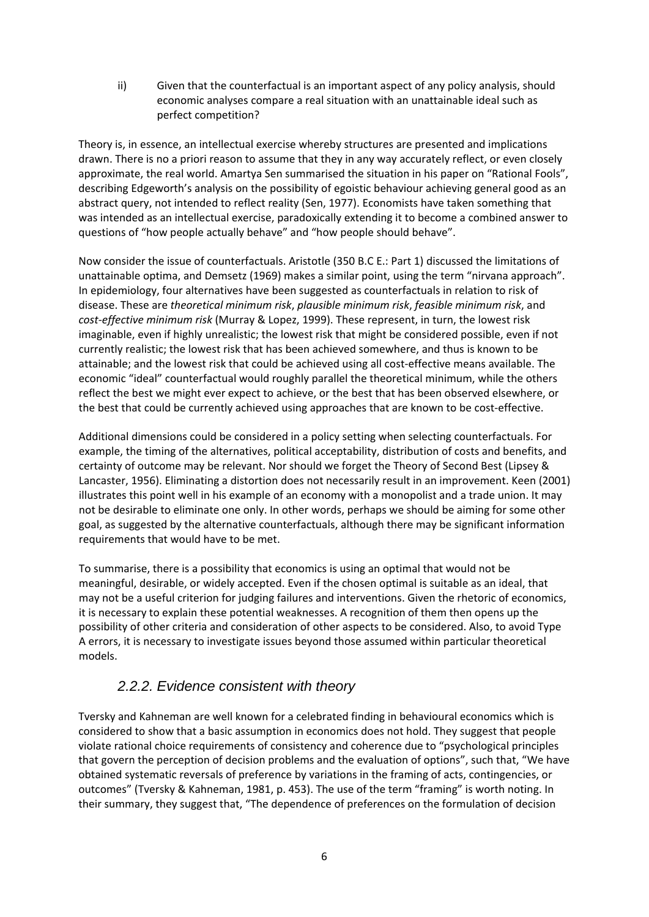ii) Given that the counterfactual is an important aspect of any policy analysis, should economic analyses compare a real situation with an unattainable ideal such as perfect competition?

Theory is, in essence, an intellectual exercise whereby structures are presented and implications drawn. There is no a priori reason to assume that they in any way accurately reflect, or even closely approximate, the real world. Amartya Sen summarised the situation in his paper on "Rational Fools", describing Edgeworth's analysis on the possibility of egoistic behaviour achieving general good as an abstract query, not intended to reflect reality (Sen, 1977). Economists have taken something that was intended as an intellectual exercise, paradoxically extending it to become a combined answer to questions of "how people actually behave" and "how people should behave".

Now consider the issue of counterfactuals. Aristotle (350 B.C E.: Part 1) discussed the limitations of unattainable optima, and Demsetz (1969) makes a similar point, using the term "nirvana approach". In epidemiology, four alternatives have been suggested as counterfactuals in relation to risk of disease. These are *theoretical minimum risk*, *plausible minimum risk*, *feasible minimum risk*, and *cost‐effective minimum risk* (Murray & Lopez, 1999). These represent, in turn, the lowest risk imaginable, even if highly unrealistic; the lowest risk that might be considered possible, even if not currently realistic; the lowest risk that has been achieved somewhere, and thus is known to be attainable; and the lowest risk that could be achieved using all cost‐effective means available. The economic "ideal" counterfactual would roughly parallel the theoretical minimum, while the others reflect the best we might ever expect to achieve, or the best that has been observed elsewhere, or the best that could be currently achieved using approaches that are known to be cost-effective.

Additional dimensions could be considered in a policy setting when selecting counterfactuals. For example, the timing of the alternatives, political acceptability, distribution of costs and benefits, and certainty of outcome may be relevant. Nor should we forget the Theory of Second Best (Lipsey & Lancaster, 1956). Eliminating a distortion does not necessarily result in an improvement. Keen (2001) illustrates this point well in his example of an economy with a monopolist and a trade union. It may not be desirable to eliminate one only. In other words, perhaps we should be aiming for some other goal, as suggested by the alternative counterfactuals, although there may be significant information requirements that would have to be met.

To summarise, there is a possibility that economics is using an optimal that would not be meaningful, desirable, or widely accepted. Even if the chosen optimal is suitable as an ideal, that may not be a useful criterion for judging failures and interventions. Given the rhetoric of economics, it is necessary to explain these potential weaknesses. A recognition of them then opens up the possibility of other criteria and consideration of other aspects to be considered. Also, to avoid Type A errors, it is necessary to investigate issues beyond those assumed within particular theoretical models.

## *2.2.2. Evidence consistent with theory*

Tversky and Kahneman are well known for a celebrated finding in behavioural economics which is considered to show that a basic assumption in economics does not hold. They suggest that people violate rational choice requirements of consistency and coherence due to "psychological principles that govern the perception of decision problems and the evaluation of options", such that, "We have obtained systematic reversals of preference by variations in the framing of acts, contingencies, or outcomes" (Tversky & Kahneman, 1981, p. 453). The use of the term "framing" is worth noting. In their summary, they suggest that, "The dependence of preferences on the formulation of decision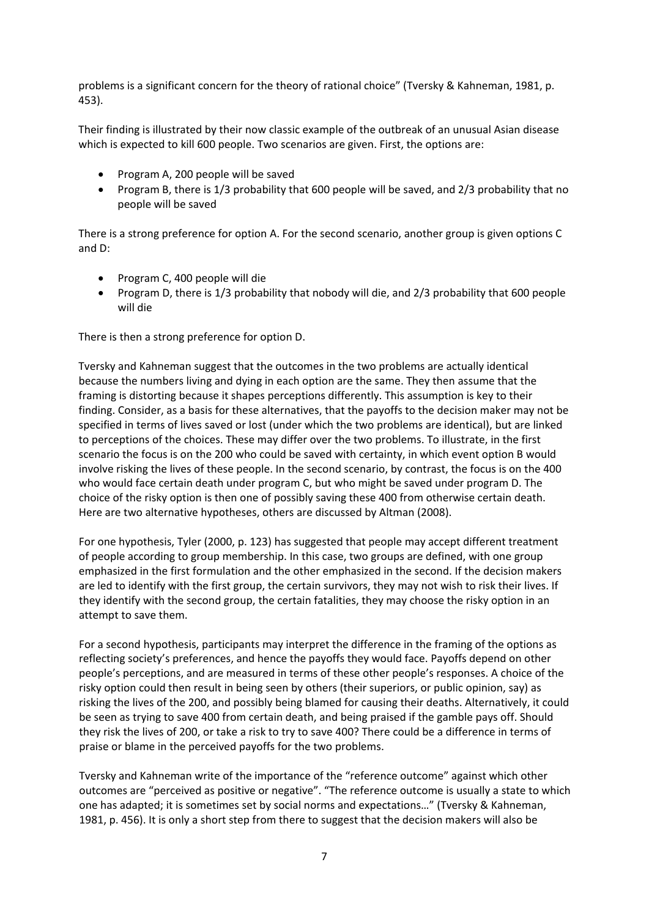problems is a significant concern for the theory of rational choice" (Tversky & Kahneman, 1981, p. 453).

Their finding is illustrated by their now classic example of the outbreak of an unusual Asian disease which is expected to kill 600 people. Two scenarios are given. First, the options are:

- Program A, 200 people will be saved
- Program B, there is 1/3 probability that 600 people will be saved, and 2/3 probability that no people will be saved

There is a strong preference for option A. For the second scenario, another group is given options C and D:

- Program C, 400 people will die
- Program D, there is 1/3 probability that nobody will die, and 2/3 probability that 600 people will die

There is then a strong preference for option D.

Tversky and Kahneman suggest that the outcomes in the two problems are actually identical because the numbers living and dying in each option are the same. They then assume that the framing is distorting because it shapes perceptions differently. This assumption is key to their finding. Consider, as a basis for these alternatives, that the payoffs to the decision maker may not be specified in terms of lives saved or lost (under which the two problems are identical), but are linked to perceptions of the choices. These may differ over the two problems. To illustrate, in the first scenario the focus is on the 200 who could be saved with certainty, in which event option B would involve risking the lives of these people. In the second scenario, by contrast, the focus is on the 400 who would face certain death under program C, but who might be saved under program D. The choice of the risky option is then one of possibly saving these 400 from otherwise certain death. Here are two alternative hypotheses, others are discussed by Altman (2008).

For one hypothesis, Tyler (2000, p. 123) has suggested that people may accept different treatment of people according to group membership. In this case, two groups are defined, with one group emphasized in the first formulation and the other emphasized in the second. If the decision makers are led to identify with the first group, the certain survivors, they may not wish to risk their lives. If they identify with the second group, the certain fatalities, they may choose the risky option in an attempt to save them.

For a second hypothesis, participants may interpret the difference in the framing of the options as reflecting society's preferences, and hence the payoffs they would face. Payoffs depend on other people's perceptions, and are measured in terms of these other people's responses. A choice of the risky option could then result in being seen by others (their superiors, or public opinion, say) as risking the lives of the 200, and possibly being blamed for causing their deaths. Alternatively, it could be seen as trying to save 400 from certain death, and being praised if the gamble pays off. Should they risk the lives of 200, or take a risk to try to save 400? There could be a difference in terms of praise or blame in the perceived payoffs for the two problems.

Tversky and Kahneman write of the importance of the "reference outcome" against which other outcomes are "perceived as positive or negative". "The reference outcome is usually a state to which one has adapted; it is sometimes set by social norms and expectations…" (Tversky & Kahneman, 1981, p. 456). It is only a short step from there to suggest that the decision makers will also be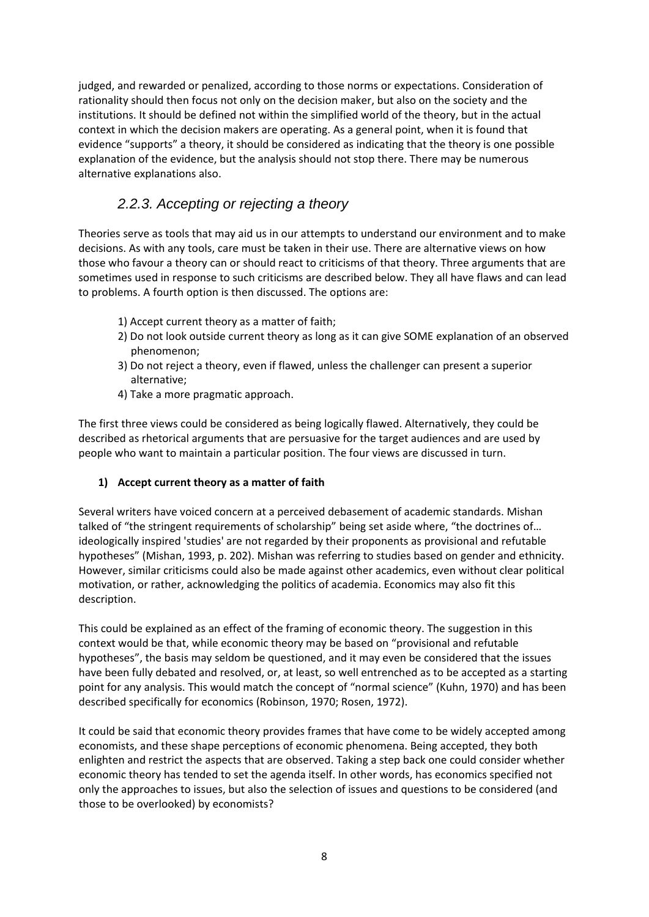judged, and rewarded or penalized, according to those norms or expectations. Consideration of rationality should then focus not only on the decision maker, but also on the society and the institutions. It should be defined not within the simplified world of the theory, but in the actual context in which the decision makers are operating. As a general point, when it is found that evidence "supports" a theory, it should be considered as indicating that the theory is one possible explanation of the evidence, but the analysis should not stop there. There may be numerous alternative explanations also.

# *2.2.3. Accepting or rejecting a theory*

Theories serve as tools that may aid us in our attempts to understand our environment and to make decisions. As with any tools, care must be taken in their use. There are alternative views on how those who favour a theory can or should react to criticisms of that theory. Three arguments that are sometimes used in response to such criticisms are described below. They all have flaws and can lead to problems. A fourth option is then discussed. The options are:

- 1) Accept current theory as a matter of faith;
- 2) Do not look outside current theory as long as it can give SOME explanation of an observed phenomenon;
- 3) Do not reject a theory, even if flawed, unless the challenger can present a superior alternative;
- 4) Take a more pragmatic approach.

The first three views could be considered as being logically flawed. Alternatively, they could be described as rhetorical arguments that are persuasive for the target audiences and are used by people who want to maintain a particular position. The four views are discussed in turn.

### **1) Accept current theory as a matter of faith**

Several writers have voiced concern at a perceived debasement of academic standards. Mishan talked of "the stringent requirements of scholarship" being set aside where, "the doctrines of… ideologically inspired 'studies' are not regarded by their proponents as provisional and refutable hypotheses" (Mishan, 1993, p. 202). Mishan was referring to studies based on gender and ethnicity. However, similar criticisms could also be made against other academics, even without clear political motivation, or rather, acknowledging the politics of academia. Economics may also fit this description.

This could be explained as an effect of the framing of economic theory. The suggestion in this context would be that, while economic theory may be based on "provisional and refutable hypotheses", the basis may seldom be questioned, and it may even be considered that the issues have been fully debated and resolved, or, at least, so well entrenched as to be accepted as a starting point for any analysis. This would match the concept of "normal science" (Kuhn, 1970) and has been described specifically for economics (Robinson, 1970; Rosen, 1972).

It could be said that economic theory provides frames that have come to be widely accepted among economists, and these shape perceptions of economic phenomena. Being accepted, they both enlighten and restrict the aspects that are observed. Taking a step back one could consider whether economic theory has tended to set the agenda itself. In other words, has economics specified not only the approaches to issues, but also the selection of issues and questions to be considered (and those to be overlooked) by economists?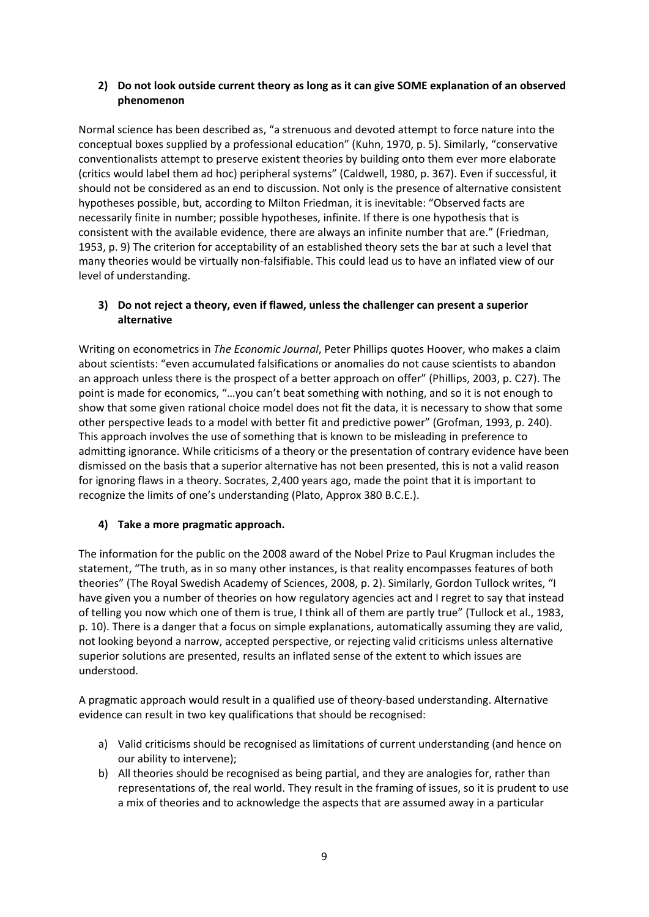### **2) Do not look outside current theory as long as it can give SOME explanation of an observed phenomenon**

Normal science has been described as, "a strenuous and devoted attempt to force nature into the conceptual boxes supplied by a professional education" (Kuhn, 1970, p. 5). Similarly, "conservative conventionalists attempt to preserve existent theories by building onto them ever more elaborate (critics would label them ad hoc) peripheral systems" (Caldwell, 1980, p. 367). Even if successful, it should not be considered as an end to discussion. Not only is the presence of alternative consistent hypotheses possible, but, according to Milton Friedman, it is inevitable: "Observed facts are necessarily finite in number; possible hypotheses, infinite. If there is one hypothesis that is consistent with the available evidence, there are always an infinite number that are." (Friedman, 1953, p. 9) The criterion for acceptability of an established theory sets the bar at such a level that many theories would be virtually non-falsifiable. This could lead us to have an inflated view of our level of understanding.

### **3) Do not reject a theory, even if flawed, unless the challenger can present a superior alternative**

Writing on econometrics in *The Economic Journal*, Peter Phillips quotes Hoover, who makes a claim about scientists: "even accumulated falsifications or anomalies do not cause scientists to abandon an approach unless there is the prospect of a better approach on offer" (Phillips, 2003, p. C27). The point is made for economics, "…you can't beat something with nothing, and so it is not enough to show that some given rational choice model does not fit the data, it is necessary to show that some other perspective leads to a model with better fit and predictive power" (Grofman, 1993, p. 240). This approach involves the use of something that is known to be misleading in preference to admitting ignorance. While criticisms of a theory or the presentation of contrary evidence have been dismissed on the basis that a superior alternative has not been presented, this is not a valid reason for ignoring flaws in a theory. Socrates, 2,400 years ago, made the point that it is important to recognize the limits of one's understanding (Plato, Approx 380 B.C.E.).

### **4) Take a more pragmatic approach.**

The information for the public on the 2008 award of the Nobel Prize to Paul Krugman includes the statement, "The truth, as in so many other instances, is that reality encompasses features of both theories" (The Royal Swedish Academy of Sciences, 2008, p. 2). Similarly, Gordon Tullock writes, "I have given you a number of theories on how regulatory agencies act and I regret to say that instead of telling you now which one of them is true, I think all of them are partly true" (Tullock et al., 1983, p. 10). There is a danger that a focus on simple explanations, automatically assuming they are valid, not looking beyond a narrow, accepted perspective, or rejecting valid criticisms unless alternative superior solutions are presented, results an inflated sense of the extent to which issues are understood.

A pragmatic approach would result in a qualified use of theory‐based understanding. Alternative evidence can result in two key qualifications that should be recognised:

- a) Valid criticisms should be recognised as limitations of current understanding (and hence on our ability to intervene);
- b) All theories should be recognised as being partial, and they are analogies for, rather than representations of, the real world. They result in the framing of issues, so it is prudent to use a mix of theories and to acknowledge the aspects that are assumed away in a particular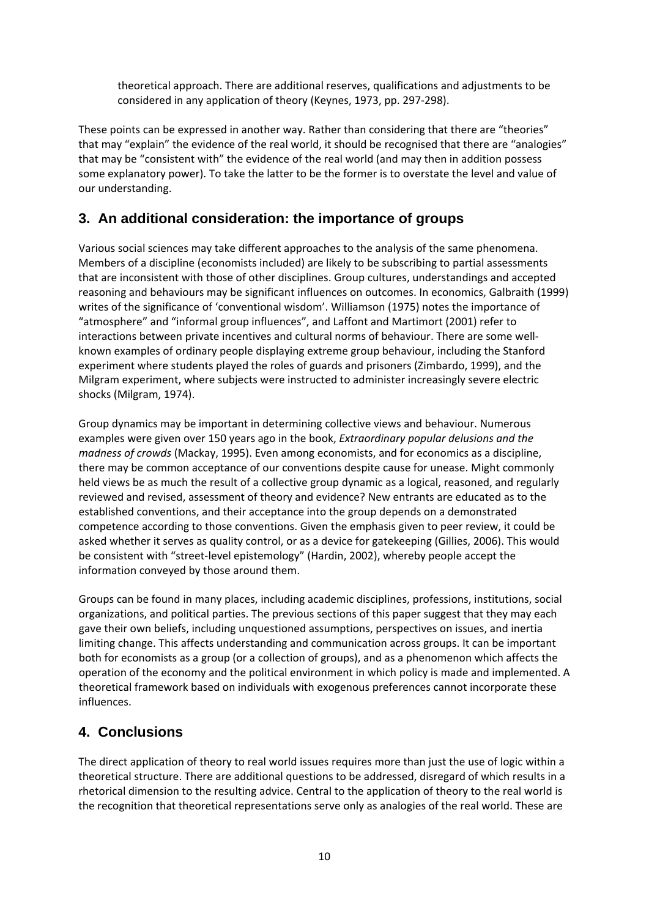theoretical approach. There are additional reserves, qualifications and adjustments to be considered in any application of theory (Keynes, 1973, pp. 297‐298).

These points can be expressed in another way. Rather than considering that there are "theories" that may "explain" the evidence of the real world, it should be recognised that there are "analogies" that may be "consistent with" the evidence of the real world (and may then in addition possess some explanatory power). To take the latter to be the former is to overstate the level and value of our understanding.

## **3. An additional consideration: the importance of groups**

Various social sciences may take different approaches to the analysis of the same phenomena. Members of a discipline (economists included) are likely to be subscribing to partial assessments that are inconsistent with those of other disciplines. Group cultures, understandings and accepted reasoning and behaviours may be significant influences on outcomes. In economics, Galbraith (1999) writes of the significance of 'conventional wisdom'. Williamson (1975) notes the importance of "atmosphere" and "informal group influences", and Laffont and Martimort (2001) refer to interactions between private incentives and cultural norms of behaviour. There are some wellknown examples of ordinary people displaying extreme group behaviour, including the Stanford experiment where students played the roles of guards and prisoners (Zimbardo, 1999), and the Milgram experiment, where subjects were instructed to administer increasingly severe electric shocks (Milgram, 1974).

Group dynamics may be important in determining collective views and behaviour. Numerous examples were given over 150 years ago in the book, *Extraordinary popular delusions and the madness of crowds* (Mackay, 1995). Even among economists, and for economics as a discipline, there may be common acceptance of our conventions despite cause for unease. Might commonly held views be as much the result of a collective group dynamic as a logical, reasoned, and regularly reviewed and revised, assessment of theory and evidence? New entrants are educated as to the established conventions, and their acceptance into the group depends on a demonstrated competence according to those conventions. Given the emphasis given to peer review, it could be asked whether it serves as quality control, or as a device for gatekeeping (Gillies, 2006). This would be consistent with "street-level epistemology" (Hardin, 2002), whereby people accept the information conveyed by those around them.

Groups can be found in many places, including academic disciplines, professions, institutions, social organizations, and political parties. The previous sections of this paper suggest that they may each gave their own beliefs, including unquestioned assumptions, perspectives on issues, and inertia limiting change. This affects understanding and communication across groups. It can be important both for economists as a group (or a collection of groups), and as a phenomenon which affects the operation of the economy and the political environment in which policy is made and implemented. A theoretical framework based on individuals with exogenous preferences cannot incorporate these influences.

### **4. Conclusions**

The direct application of theory to real world issues requires more than just the use of logic within a theoretical structure. There are additional questions to be addressed, disregard of which results in a rhetorical dimension to the resulting advice. Central to the application of theory to the real world is the recognition that theoretical representations serve only as analogies of the real world. These are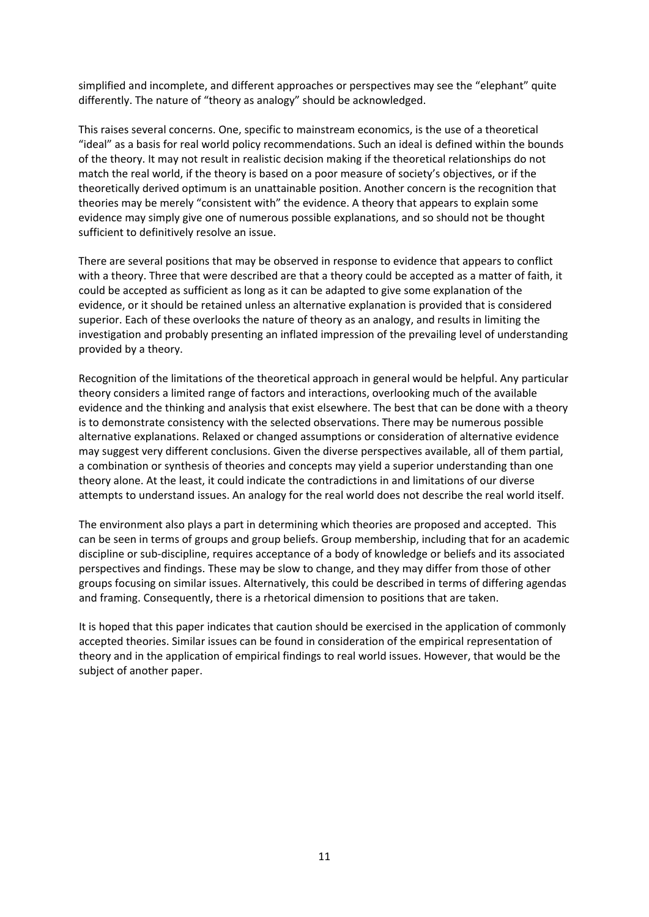simplified and incomplete, and different approaches or perspectives may see the "elephant" quite differently. The nature of "theory as analogy" should be acknowledged.

This raises several concerns. One, specific to mainstream economics, is the use of a theoretical "ideal" as a basis for real world policy recommendations. Such an ideal is defined within the bounds of the theory. It may not result in realistic decision making if the theoretical relationships do not match the real world, if the theory is based on a poor measure of society's objectives, or if the theoretically derived optimum is an unattainable position. Another concern is the recognition that theories may be merely "consistent with" the evidence. A theory that appears to explain some evidence may simply give one of numerous possible explanations, and so should not be thought sufficient to definitively resolve an issue.

There are several positions that may be observed in response to evidence that appears to conflict with a theory. Three that were described are that a theory could be accepted as a matter of faith, it could be accepted as sufficient as long as it can be adapted to give some explanation of the evidence, or it should be retained unless an alternative explanation is provided that is considered superior. Each of these overlooks the nature of theory as an analogy, and results in limiting the investigation and probably presenting an inflated impression of the prevailing level of understanding provided by a theory.

Recognition of the limitations of the theoretical approach in general would be helpful. Any particular theory considers a limited range of factors and interactions, overlooking much of the available evidence and the thinking and analysis that exist elsewhere. The best that can be done with a theory is to demonstrate consistency with the selected observations. There may be numerous possible alternative explanations. Relaxed or changed assumptions or consideration of alternative evidence may suggest very different conclusions. Given the diverse perspectives available, all of them partial, a combination or synthesis of theories and concepts may yield a superior understanding than one theory alone. At the least, it could indicate the contradictions in and limitations of our diverse attempts to understand issues. An analogy for the real world does not describe the real world itself.

The environment also plays a part in determining which theories are proposed and accepted. This can be seen in terms of groups and group beliefs. Group membership, including that for an academic discipline or sub‐discipline, requires acceptance of a body of knowledge or beliefs and its associated perspectives and findings. These may be slow to change, and they may differ from those of other groups focusing on similar issues. Alternatively, this could be described in terms of differing agendas and framing. Consequently, there is a rhetorical dimension to positions that are taken.

It is hoped that this paper indicates that caution should be exercised in the application of commonly accepted theories. Similar issues can be found in consideration of the empirical representation of theory and in the application of empirical findings to real world issues. However, that would be the subject of another paper.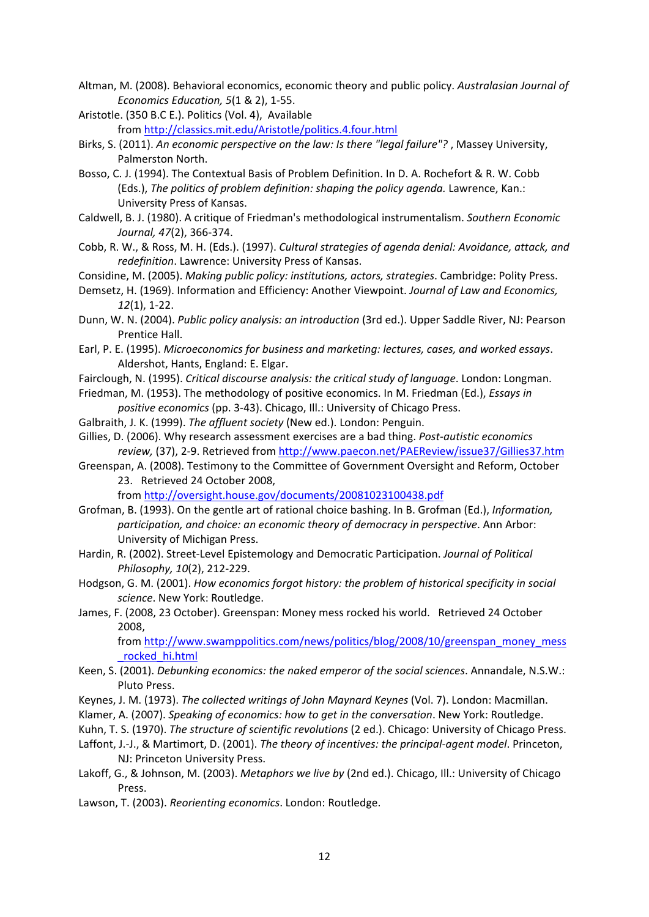- Altman, M. (2008). Behavioral economics, economic theory and public policy. *Australasian Journal of Economics Education, 5*(1 & 2), 1‐55.
- Aristotle. (350 B.C E.). Politics (Vol. 4), Available from <http://classics.mit.edu/Aristotle/politics.4.four.html>
- Birks, S. (2011). *An economic perspective on the law: Is there "legal failure"?* , Massey University, Palmerston North.
- Bosso, C. J. (1994). The Contextual Basis of Problem Definition. In D. A. Rochefort & R. W. Cobb (Eds.), *The politics of problem definition: shaping the policy agenda.* Lawrence, Kan.: University Press of Kansas.
- Caldwell, B. J. (1980). A critique of Friedman's methodological instrumentalism. *Southern Economic Journal, 47*(2), 366‐374.
- Cobb, R. W., & Ross, M. H. (Eds.). (1997). *Cultural strategies of agenda denial: Avoidance, attack, and redefinition*. Lawrence: University Press of Kansas.

Considine, M. (2005). *Making public policy: institutions, actors, strategies*. Cambridge: Polity Press.

- Demsetz, H. (1969). Information and Efficiency: Another Viewpoint. *Journal of Law and Economics, 12*(1), 1‐22.
- Dunn, W. N. (2004). *Public policy analysis: an introduction* (3rd ed.). Upper Saddle River, NJ: Pearson Prentice Hall.
- Earl, P. E. (1995). *Microeconomics for business and marketing: lectures, cases, and worked essays*. Aldershot, Hants, England: E. Elgar.
- Fairclough, N. (1995). *Critical discourse analysis: the critical study of language*. London: Longman.
- Friedman, M. (1953). The methodology of positive economics. In M. Friedman (Ed.), *Essays in positive economics* (pp. 3‐43). Chicago, Ill.: University of Chicago Press.
- Galbraith, J. K. (1999). *The affluent society* (New ed.). London: Penguin.

Gillies, D. (2006). Why research assessment exercises are a bad thing. *Post‐autistic economics review,* (37), 2‐9. Retrieved from <http://www.paecon.net/PAEReview/issue37/Gillies37.htm>

Greenspan, A. (2008). Testimony to the Committee of Government Oversight and Reform, October 23. Retrieved 24 October 2008,

from <http://oversight.house.gov/documents/20081023100438.pdf>

- Grofman, B. (1993). On the gentle art of rational choice bashing. In B. Grofman (Ed.), *Information, participation, and choice: an economic theory of democracy in perspective*. Ann Arbor: University of Michigan Press.
- Hardin, R. (2002). Street‐Level Epistemology and Democratic Participation. *Journal of Political Philosophy, 10*(2), 212‐229.
- Hodgson, G. M. (2001). *How economics forgot history: the problem of historical specificity in social science*. New York: Routledge.
- James, F. (2008, 23 October). Greenspan: Money mess rocked his world. Retrieved 24 October 2008,

from [http://www.swamppolitics.com/news/politics/blog/2008/10/greenspan\\_money\\_mess](http://www.swamppolitics.com/news/politics/blog/2008/10/greenspan_money_mess_rocked_hi.html) [\\_rocked\\_hi.html](http://www.swamppolitics.com/news/politics/blog/2008/10/greenspan_money_mess_rocked_hi.html)

- Keen, S. (2001). *Debunking economics: the naked emperor of the social sciences*. Annandale, N.S.W.: Pluto Press.
- Keynes, J. M. (1973). *The collected writings of John Maynard Keynes* (Vol. 7). London: Macmillan.
- Klamer, A. (2007). *Speaking of economics: how to get in the conversation*. New York: Routledge.
- Kuhn, T. S. (1970). *The structure of scientific revolutions* (2 ed.). Chicago: University of Chicago Press.
- Laffont, J.‐J., & Martimort, D. (2001). *The theory of incentives: the principal‐agent model*. Princeton, NJ: Princeton University Press.
- Lakoff, G., & Johnson, M. (2003). *Metaphors we live by* (2nd ed.). Chicago, Ill.: University of Chicago Press.
- Lawson, T. (2003). *Reorienting economics*. London: Routledge.